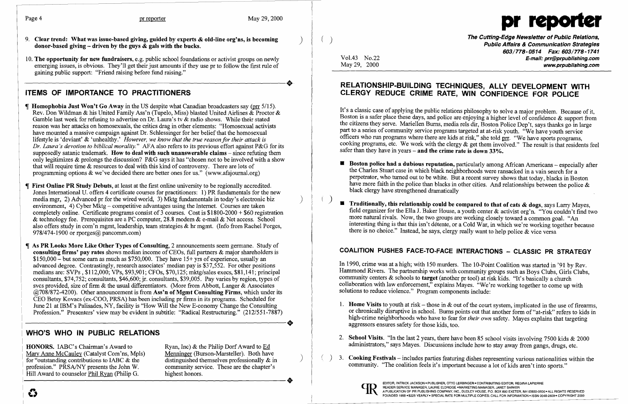$\vert$ 



- 9. Clear trend: What was issue-based giving, guided by experts & old-line org'ns, is becoming (and the company of the Cutting-Edge Newsletter of Public Relations,<br>donor-based giving driven by the guys & gals with the buc
- 10. The opportunity for new fundraisers, e.g. public school foundations or activist groups on newly emerging issues, is obvious. They'll get their just amounts if they use pr to follow the first rule of gaining public support: "Friend raising before fund raising." gaining public support: "Friend raising before fund raising."

# ITEMS OF IMPORTANCE TO PRACTITIONERS

- **Homophobia Just Won't Go Away** in the US despite what Canadian broadcasters say ( $\text{prr } 5/15$ ). Rev. Don Wildman & his United Family Ass'n (Tupelo, Miss) blasted United Airlines & Proctor & Gamble last week for refusing to advertise on Dr. Laura's tv & radio shows. While their stated reason was her attacks on homosexuals, the critics drag in other elements: "Homosexual activists have mounted a massive campaign against Dr. Schlessinger for her belief that the homosexual lifestyle is 'deviant' & 'unhealthy.' *However, we know that the true reason for their attack is Dr. Laura's devotion to biblical morality."* AFA also refers to its previous effort against P&G for its supposedly satanic trademark. How to deal with such unanswerable claims – since refuting them only legitimizes & prolongs the discussion? P&G says it has "chosen not to be involved with a show that will require time & resources to deal with this kind of controversy. There are lots of programming options & we've decided there are better ones for us." (www.afajournal.org)
- First Online PR Study Debuts, at least at the first online university to be regionally accredited. Jones International U. offers 4 certificate courses for practitioners: 1) PR fundamentals for the new media mgr, 2) Advanced pr for the wired world, 3) Mktg fundamentals in today's electronic biz ) environment, 4) Cyber Mktg – competitive advantages using the Internet. Courses are taken completely online. Certificate programs consist of  $\overline{3}$  courses. Cost is \$1800-2000 + \$60 registration & technology fee. Prerequisites are a PC computer, 28.8 modem & e-mail & Net access. School also offers study in com'n mgmt, leadership, team strategies & hr mgmt. (Info from Rachel Porges, 978/474-1900 or rporges $(a)$  pancomm.com)
- As PR Looks More Like Other Types of Consulting, 2 announcements seem germane. Study of consulting firms' pay rates shows median income of CEOs, full partners  $\&$  major shareholders is  $$150,000 -$  but some earn as much as  $$750,000$ . They have  $15+$  yrs of experience, usually an advanced degree. Contrastingly, research associates' median pay is \$37,552. For other positions medians are: SVPs, \$112,000; VPs, \$93,901; CFOs, \$70,125; mktg/sales execs, \$81,141; principal consultants, \$74,752; consultants, \$46,600; jr. consultants, \$39,005. Pay varies by region, types of svcs provided, size of firm & the usual differentiators. (More from Abbott, Langer & Associates  $\omega$  ( $\omega$ 708/872-4200). Other announcement is from Ass'n of Mgmt Consulting Firms, which under its CEO Betsy Kovacs (ex-COO, PRSA) has been including pr firms in its programs. Scheduled for June 21 at IBM's Palisades, NY, facility is "How Will the New E-conomy Change the Consulting Profession." Presenters' view may be evident in subtitle: "Radical Restructuring." (212/551-7887) June 21 at IBM's Palisades, NY, facility is "How Will the New E-conomy Change the Consulting<br>Profession." Presenters' view may be evident in subtitle: "Radical Restructuring." (212/551-7887)

603/778-0514 Fax: 603/778-1741 Vol.43 No.22 **E-mail: prr@prpublishing.com**<br>May 29, 2000 **E-mail: proproduction of the example of the example of the example of the example of the example of** www.prpublishing.com

It's a classic case of applying the public relations philosophy to solve a major problem. Because of it, Boston is a safer place these days, and police are enjoying a higher level of confidence & support from the citizens they serve. Mariellen Bums, media rels dir, Boston Police Dep't, says thanks go in large part to a series of community service programs targeted at at-risk youth. "We have youth service officers who run programs where there are kids at risk," she told prr. "We have sports programs, cooking programs, etc. We work with the clergy & get them involved." The result is that residents feel safer than they have in years  $-\text{and}$  the crime rate is down 33%.

perpetrator, who turned out to be white. But a recent survey shows that today, blacks in Boston have more faith in the police than blacks in other cities. And relationships between the police &

- **E** Boston police had a dubious reputation, particularly among African Americans especially after the Charles Stuart case in which black neighborhoods were ransacked in a vain search for a black clergy have strengthened dramatically
- $\blacksquare$  Traditionally, this relationship could be compared to that of cats  $\&$  dogs, says Larry Mayes, more natural rivals. Now, the two groups are working closely toward a common goal. "An there is no choice." Instead, he says, clergy really want to help police & vice versa

# COALITION PUSHES FACE-TO-FACE INTERACTIONS - CLASSIC PR STRATEGY

### WHO'S WHO IN PUBLIC RELATIONS

- 1. Home Visits to youth at risk those in  $\&$  out of the court system, implicated in the use of firearms, aggressors ensures safety for those kids, too.
- 2. School Visits. "In the last 2 years, there have been 85 school visits involving 7500 kids & 2000 administrators," says Mayes. Discussions include how to stay away from gangs, drugs, etc.
- 3. Cooking Festivals includes parties featuring dishes representing various nationalities within the community. "The coalition feels it's important because a lot of kids aren't into sports."

**HONORS.** IABC's Chairman's Award to Ryan, Inc) & the Philip Dorf Award to  $\underline{Ed}$ Mary Anne McCauley (Catalyst Com'ns, Mpls) Menninger (Burson-Marsteller). Both have for "outstanding contributions to IABC & the distinguished themselves professionally & in for "outstanding contributions to IABC  $\&$  the distinguished themselves professionally  $\&$  in profession." PRSA/NY presents the John W. community service. These are the chapter's profession." PRSA/NY presents the John W. Hill Award to counselor Phil Ryan (Philip G. highest honors.



profession." PRSA/NY presents the John W.<br>Hill Award to counselor <u>Phil Ryan</u> (Philip G. highest honors.

## RELATIONSHIP-BUILDING TECHNIQUES, ALLY DEVELOPMENT WITH CLERGY REDUCE CRIME RATE, WIN CONFIDENCE FOR POLICE

field organizer for the Ella 1. Baker House, a youth center & activist org'n. "You couldn't find two interesting thing is that this isn't detente, or a Cold War, in which we're working together because

In 1990, crime was at a high; with 150 murders. The 10-Point Coalition was started in '91 by Rev. Hammond Rivers. The partnership works with community groups such as Boys Clubs, Girls Clubs, community centers & schools to target (another pr tool) at risk kids. "It's basically a church collaboration with law enforcement," explains Mayes. "We're working together to come up with solutions to reduce violence." Program components include:

or chronically disruptive in school. Bums points out that another form of "at-risk" refers to kids in high-crime neighborhoods who have to fear for *their own* safety. Mayes explains that targeting